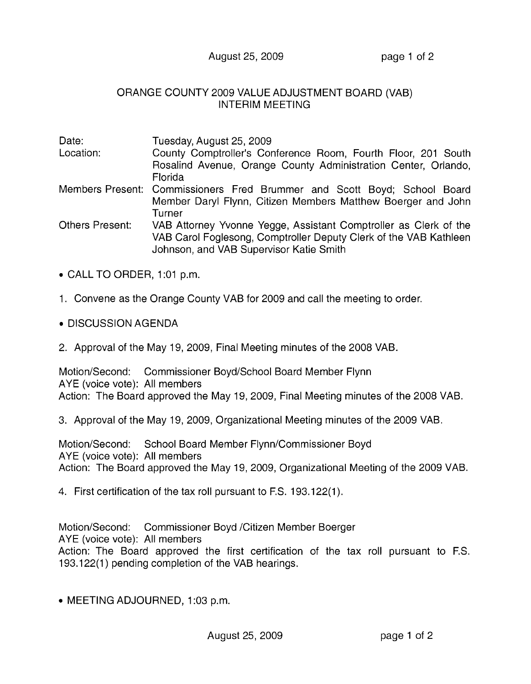## August 25, 2009 **page 1 of 2**

## ORANGE COUNTY 2009 VALUE ADJUSTMENT BOARD (VAB) INTERIM MEETING

| Date:           | Tuesday, August 25, 2009                                                                                     |
|-----------------|--------------------------------------------------------------------------------------------------------------|
| Location:       | County Comptroller's Conference Room, Fourth Floor, 201 South                                                |
|                 | Rosalind Avenue, Orange County Administration Center, Orlando,                                               |
|                 | <b>Florida</b>                                                                                               |
|                 | Members Present: Commissioners Fred Brummer and Scott Boyd; School Board                                     |
|                 | Member Daryl Flynn, Citizen Members Matthew Boerger and John                                                 |
|                 | Turner                                                                                                       |
| Others Present: | VAB Attorney Yvonne Yegge, Assistant Comptroller as Clerk of the                                             |
|                 | VAB Carol Foglesong, Comptroller Deputy Clerk of the VAB Kathleen<br>Johnson, and VAB Supervisor Katie Smith |
|                 |                                                                                                              |

- CALL TO ORDER, 1:01 p.m.
- 1. Convene as the Orange County VAB for 2009 and call the meeting to order.
- DISCUSSION AGENDA
- 2. Approval of the May 19, 2009, Final Meeting minutes of the 2008 VAB.

Motion/Second: Commissioner Boyd/School Board Member Flynn AYE (voice vote): All members Action: The Board approved the May 19,2009, Final Meeting minutes of the 2008 VAB.

3. Approval of the May 19, 2009, Organizational Meeting minutes of the 2009 VAB.

Motion/Second: School Board Member Flynn/Commissioner Boyd AYE (voice vote): All members Action: The Board approved the May 19, 2009, Organizational Meeting of the 2009 VAB.

4. First certification of the tax roll pursuant to F.S. 193.122(1).

Motion/Second: Commissioner Boyd /Citizen Member Boerger AYE (voice vote): All members Action: The Board approved the first certification of the tax roll pursuant to F.S. 193.122(1) pending completion of the VAB hearings.

• MEETING ADJOURNED, 1:03 p.m.